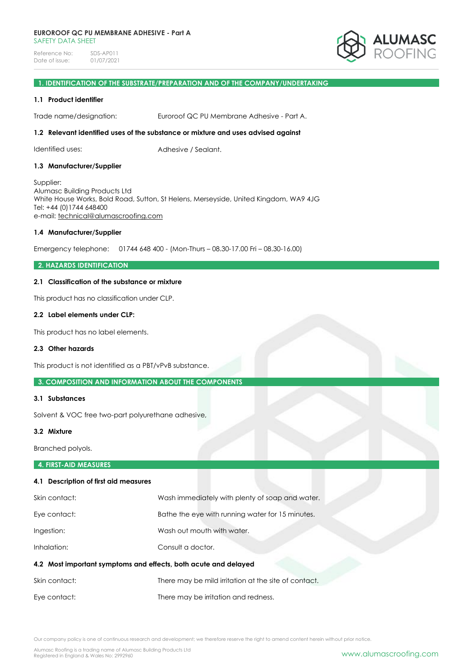

# **1. IDENTIFICATION OF THE SUBSTRATE/PREPARATION AND OF THE COMPANY/UNDERTAKING**

# **1.1 Product identifier**

Trade name/designation: Euroroof QC PU Membrane Adhesive - Part A.

# **1.2 Relevant identified uses of the substance or mixture and uses advised against**

Identified uses:  $\blacksquare$  Adhesive / Sealant.

### **1.3 Manufacturer/Supplier**

Supplier: Alumasc Building Products Ltd White House Works, Bold Road, Sutton, St Helens, Merseyside, United Kingdom, WA9 4JG Tel: +44 (0)1744 648400 e-mail: [technical@alumascroofing.com](mailto:technical@alumascroofing.com)

#### **1.4 Manufacturer/Supplier**

Emergency telephone: 01744 648 400 - (Mon-Thurs – 08.30-17.00 Fri – 08.30-16.00)

### **2. HAZARDS IDENTIFICATION**

# **2.1 Classification of the substance or mixture**

This product has no classification under CLP.

#### **2.2 Label elements under CLP:**

This product has no label elements.

#### **2.3 Other hazards**

This product is not identified as a PBT/vPvB substance.

# **3. COMPOSITION AND INFORMATION ABOUT THE COMPONENTS**

#### **3.1 Substances**

Solvent & VOC free two-part polyurethane adhesive,

#### **3.2 Mixture**

Branched polyols.

# **4. FIRST-AID MEASURES**

# **4.1 Description of first aid measures**

| Skin contact:                                                   | Wash immediately with plenty of soap and water.      |
|-----------------------------------------------------------------|------------------------------------------------------|
| Eye contact:                                                    | Bathe the eye with running water for 15 minutes.     |
| Ingestion:                                                      | Wash out mouth with water.                           |
| Inhalation:                                                     | Consult a doctor.                                    |
| 4.2 Most important symptoms and effects, both acute and delayed |                                                      |
| Skin contact:                                                   | There may be mild irritation at the site of contact. |
| Eye contact:                                                    | There may be irritation and redness.                 |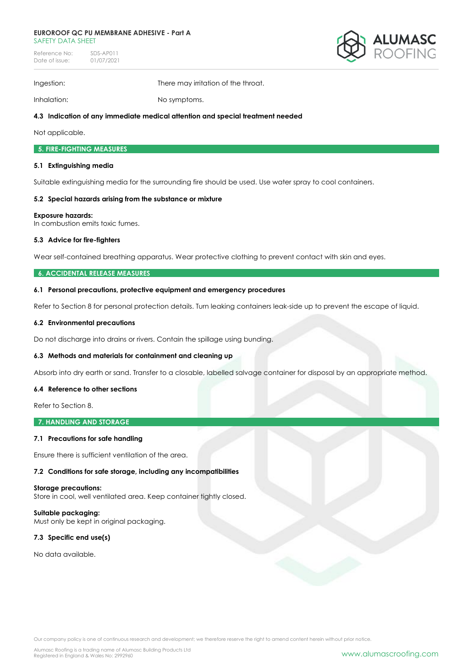#### **EUROROOF QC PU MEMBRANE ADHESIVE - Part A** SAFFTY DATA SHFFT

Reference No: SDS-AP011<br>Date of issue: 01/07/2021 Date of issue:



Ingestion: There may irritation of the throat.

Inhalation: No symptoms.

# **4.3 Indication of any immediate medical attention and special treatment needed**

Not applicable.

# **5. FIRE-FIGHTING MEASURES**

# **5.1 Extinguishing media**

Suitable extinguishing media for the surrounding fire should be used. Use water spray to cool containers.

# **5.2 Special hazards arising from the substance or mixture**

# **Exposure hazards:**

In combustion emits toxic fumes.

# **5.3 Advice for fire-fighters**

Wear self-contained breathing apparatus. Wear protective clothing to prevent contact with skin and eyes.

# **6. ACCIDENTAL RELEASE MEASURES**

# **6.1 Personal precautions, protective equipment and emergency procedures**

Refer to Section 8 for personal protection details. Turn leaking containers leak-side up to prevent the escape of liquid.

### **6.2 Environmental precautions**

Do not discharge into drains or rivers. Contain the spillage using bunding.

# **6.3 Methods and materials for containment and cleaning up**

Absorb into dry earth or sand. Transfer to a closable, labelled salvage container for disposal by an appropriate method.

# **6.4 Reference to other sections**

Refer to Section 8.

**7. HANDLING AND STORAGE**

# **7.1 Precautions for safe handling**

Ensure there is sufficient ventilation of the area.

**7.2 Conditions for safe storage, including any incompatibilities** 

#### **Storage precautions:**

Store in cool, well ventilated area. Keep container tightly closed.

**Suitable packaging:** Must only be kept in original packaging.

# **7.3 Specific end use(s)**

No data available.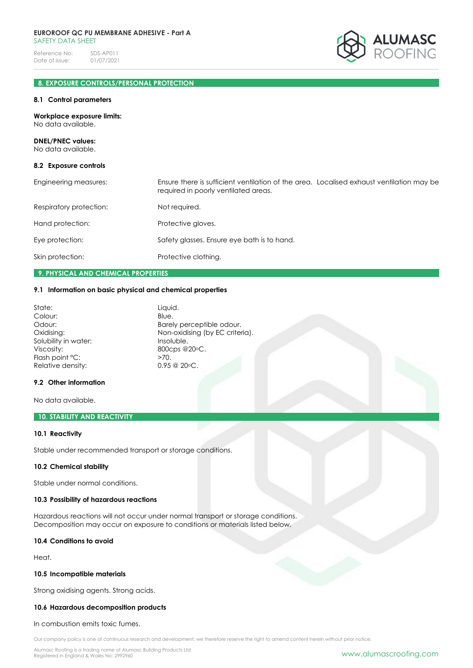

# **8. EXPOSURE CONTROLS/PERSONAL PROTECTION**

#### **8.1 Control parameters**

**Workplace exposure limits:** No data available. **DNEL/PNEC values:** No data available. **8.2 Exposure controls** Engineering measures: Ensure there is sufficient ventilation of the area. Localised exhaust ventilation may be required in poorly ventilated areas. Respiratory protection: Not required. Hand protection: Protective gloves. Eye protection: Safety glasses. Ensure eye bath is to hand. Skin protection: Protective clothing.

### **9. PHYSICAL AND CHEMICAL PROPERTIES**

#### **9.1 Information on basic physical and chemical properties**

| State:                                        | Liquid.                   |
|-----------------------------------------------|---------------------------|
| Colour:                                       | Blue.                     |
| Odour:                                        | Barely perceptible odour. |
| Non-oxidising (by EC criteria).<br>Oxidising: |                           |
| Solubility in water:                          | Insoluble.                |
| Viscosity:                                    | 800cps @20°C.             |
| Flash point °C:                               | $>70$ .                   |
| Relative density:                             | $0.95 \ @ \ 20 \circ C.$  |
|                                               |                           |

#### **9.2 Other information**

No data available.

# **10. STABILITY AND REACTIVITY**

### **10.1 Reactivity**

Stable under recommended transport or storage conditions.

#### **10.2 Chemical stability**

Stable under normal conditions.

# **10.3 Possibility of hazardous reactions**

Hazardous reactions will not occur under normal transport or storage conditions. Decomposition may occur on exposure to conditions or materials listed below.

#### **10.4 Conditions to avoid**

Heat.

#### **10.5 Incompatible materials**

Strong oxidising agents. Strong acids.

# **10.6 Hazardous decomposition products**

In combustion emits toxic fumes.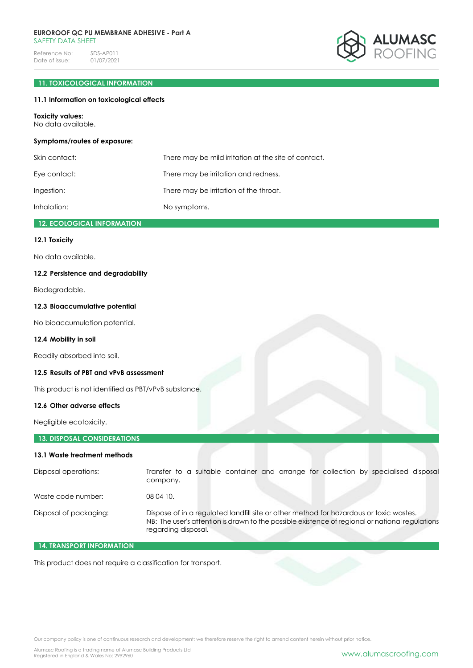#### **EUROROOF QC PU MEMBRANE ADHESIVE - Part A** SAFFTY DATA SHFFT

Reference No: SDS-AP011<br>Date of issue: 01/07/2021 Date of issue:



# **11. TOXICOLOGICAL INFORMATION**

# **11.1 Information on toxicological effects**

#### **Toxicity values:**

No data available.

### **Symptoms/routes of exposure:**

| Skin contact: | There may be mild irritation at the site of contact. |
|---------------|------------------------------------------------------|
| Eve contact:  | There may be irritation and redness.                 |
| Ingestion:    | There may be irritation of the throat.               |
| Inhalation:   | No symptoms.                                         |

# **12. ECOLOGICAL INFORMATION**

# **12.1 Toxicity**

No data available.

# **12.2 Persistence and degradability**

Biodegradable.

### **12.3 Bioaccumulative potential**

No bioaccumulation potential.

# **12.4 Mobility in soil**

Readily absorbed into soil.

# **12.5 Results of PBT and vPvB assessment**

This product is not identified as PBT/vPvB substance.

# **12.6 Other adverse effects**

Negligible ecotoxicity.

# **13. DISPOSAL CONSIDERATIONS**

# **13.1 Waste treatment methods**

| Disposal operations:   | Transfer to a suitable container and arrange for collection by specialised disposal<br>company.                                                                                                                  |
|------------------------|------------------------------------------------------------------------------------------------------------------------------------------------------------------------------------------------------------------|
| Waste code number:     | 08 04 10.                                                                                                                                                                                                        |
| Disposal of packaging: | Dispose of in a regulated landfill site or other method for hazardous or toxic wastes.<br>NB: The user's attention is drawn to the possible existence of regional or national regulations<br>regarding disposal. |

# **14. TRANSPORT INFORMATION**

This product does not require a classification for transport.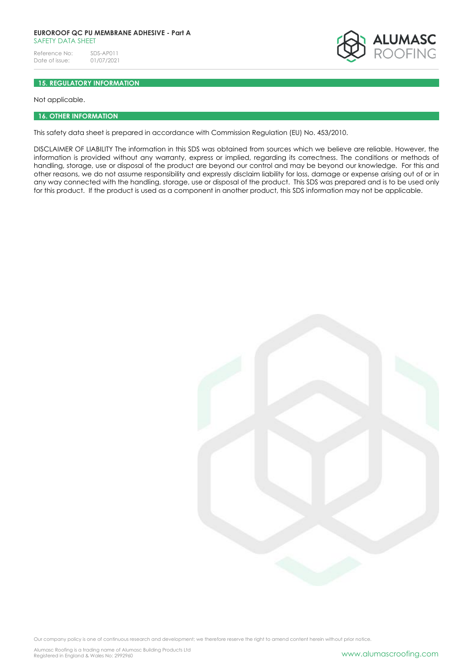### **EUROROOF QC PU MEMBRANE ADHESIVE - Part A** SAFFTY DATA SHFFT

Reference No: SDS-AP011<br>Date of issue: 01/07/2021 Date of issue:



# **15. REGULATORY INFORMATION**

Not applicable.

# **16. OTHER INFORMATION**

This safety data sheet is prepared in accordance with Commission Regulation (EU) No. 453/2010.

DISCLAIMER OF LIABILITY The information in this SDS was obtained from sources which we believe are reliable. However, the information is provided without any warranty, express or implied, regarding its correctness. The conditions or methods of handling, storage, use or disposal of the product are beyond our control and may be beyond our knowledge. For this and other reasons, we do not assume responsibility and expressly disclaim liability for loss, damage or expense arising out of or in any way connected with the handling, storage, use or disposal of the product. This SDS was prepared and is to be used only for this product. If the product is used as a component in another product, this SDS information may not be applicable.

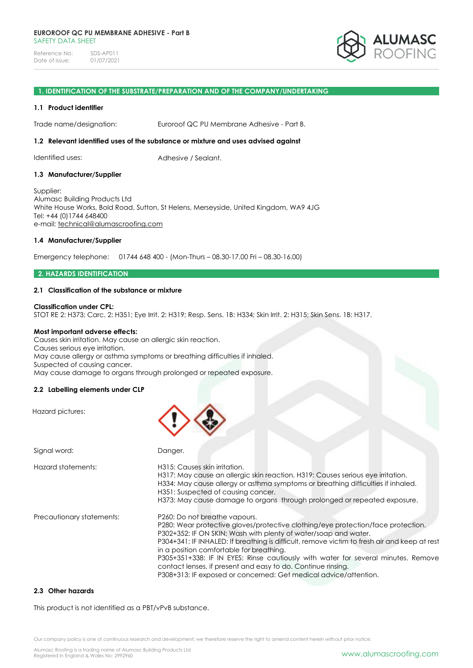

#### **1. IDENTIFICATION OF THE SUBSTRATE/PREPARATION AND OF THE COMPANY/UNDERTAKING**

#### **1.1 Product identifier**

Trade name/designation: Euroroof QC PU Membrane Adhesive - Part B.

#### **1.2 Relevant identified uses of the substance or mixture and uses advised against**

Identified uses: Adhesive / Sealant.

#### **1.3 Manufacturer/Supplier**

Supplier: Alumasc Building Products Ltd White House Works, Bold Road, Sutton, St Helens, Merseyside, United Kingdom, WA9 4JG Tel: +44 (0)1744 648400 e-mail: [technical@alumascroofing.com](mailto:technical@alumascroofing.com)

# **1.4 Manufacturer/Supplier**

Emergency telephone: 01744 648 400 - (Mon-Thurs – 08.30-17.00 Fri – 08.30-16.00)

#### **2. HAZARDS IDENTIFICATION**

# **2.1 Classification of the substance or mixture**

#### **Classification under CPL:**

STOT RE 2: H373; Carc. 2: H351; Eye Irrit. 2: H319; Resp. Sens. 1B: H334; Skin Irrit. 2: H315; Skin Sens. 1B: H317.

#### **Most important adverse effects:**

Causes skin irritation. May cause an allergic skin reaction. Causes serious eye irritation. May cause allergy or asthma symptoms or breathing difficulties if inhaled. Suspected of causing cancer. May cause damage to organs through prolonged or repeated exposure.

# **2.2 Labelling elements under CLP**

Hazard pictures:

| Signal word:              | Danger.                                                                                                                                                                                                                                                                                                                                                                                                                                                                                                                                                   |
|---------------------------|-----------------------------------------------------------------------------------------------------------------------------------------------------------------------------------------------------------------------------------------------------------------------------------------------------------------------------------------------------------------------------------------------------------------------------------------------------------------------------------------------------------------------------------------------------------|
| Hazard statements:        | H315: Causes skin irritation.<br>H317: May cause an allergic skin reaction. H319: Causes serious eye irritation.<br>H334: May cause allergy or asthma symptoms or breathing difficulties if inhaled.<br>H351: Suspected of causing cancer.<br>H373: May cause damage to organs through prolonged or repeated exposure.                                                                                                                                                                                                                                    |
| Precautionary statements: | P260: Do not breathe vapours.<br>P280: Wear protective gloves/protective clothing/eye protection/face protection.<br>P302+352: IF ON SKIN: Wash with plenty of water/soap and water.<br>P304+341; IF INHALED; If breathing is difficult, remove victim to fresh air and keep at rest<br>in a position comfortable for breathing.<br>P305+351+338: IF IN EYES: Rinse cautiously with water for several minutes. Remove<br>contact lenses, if present and easy to do. Continue rinsing.<br>P308+313: IF exposed or concerned: Get medical advice/attention. |

# **2.3 Other hazards**

This product is not identified as a PBT/vPvB substance.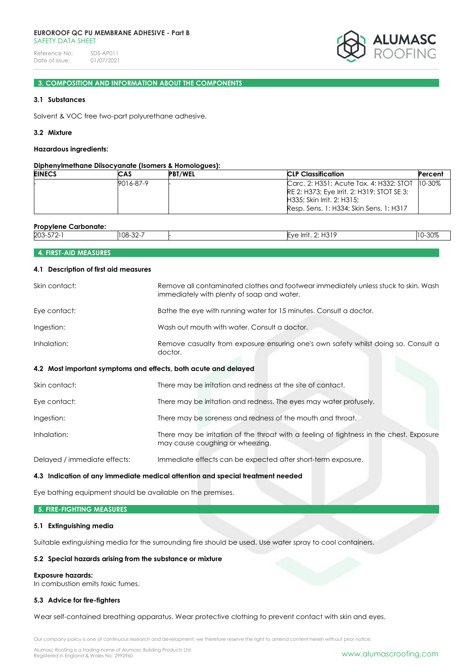#### **EUROROOF QC PU MEMBRANE ADHESIVE - Part B** SAFFTY DATA SHFFT

Reference No: SDS-AP011<br>Date of issue: 01/07/2021 Date of issue:



# **3. COMPOSITION AND INFORMATION ABOUT THE COMPONENTS**

### **3.1 Substances**

Solvent & VOC free two-part polyurethane adhesive.

### **3.2 Mixture**

#### **Hazardous ingredients:**

# **Diphenylmethane Diisocyanate (Isomers & Homologues):**

| <b>EINECS</b> | CAS       | <b>PBT/WEL</b> | <b>CLP Classification</b>                                                                                                                                       | Percent     |
|---------------|-----------|----------------|-----------------------------------------------------------------------------------------------------------------------------------------------------------------|-------------|
|               | 9016-87-9 |                | Carc. 2: H351; Acute Tox. 4: H332; STOT<br>IRE 2: H373; Eye Irrit. 2: H319; STOT SE 3:<br>H335: Skin Irrit. 2: H315:<br>Resp. Sens. 1: H334; Skin Sens. 1: H317 | $10 - 30\%$ |

| Propylene<br>Carbonate:        |                                            |                                                                                                  |                |
|--------------------------------|--------------------------------------------|--------------------------------------------------------------------------------------------------|----------------|
| 203-572<br>$-70$<br>$\epsilon$ | $\Omega$ $\Omega$ $\Gamma$<br>`NR_<br>∵∠ت− | $\sqrt{2}$<br><br>۱۱۵<br>$\rightarrow$ Irr $^{\circ}$<br>.<br>$\cup$<br>$\overline{\phantom{0}}$ | $\sim$<br>-JU% |
|                                |                                            |                                                                                                  |                |

# **4. FIRST-AID MEASURES**

#### **4.1 Description of first aid measures**

| Skin contact:                | Remove all contaminated clothes and footwear immediately unless stuck to skin. Wash<br>immediately with plenty of soap and water. |  |  |  |
|------------------------------|-----------------------------------------------------------------------------------------------------------------------------------|--|--|--|
| Eye contact:                 | Bathe the eye with running water for 15 minutes. Consult a doctor.                                                                |  |  |  |
| Ingestion:                   | Wash out mouth with water. Consult a doctor.                                                                                      |  |  |  |
| Inhalation:                  | Remove casualty from exposure ensuring one's own safety whilst doing so. Consult a<br>doctor.                                     |  |  |  |
|                              | 4.2 Most important symptoms and effects, both acute and delayed                                                                   |  |  |  |
| Skin contact:                | There may be irritation and redness at the site of contact.                                                                       |  |  |  |
| Eye contact:                 | There may be irritation and redness. The eyes may water profusely.                                                                |  |  |  |
| Ingestion:                   | There may be soreness and redness of the mouth and throat.                                                                        |  |  |  |
| Inhalation:                  | There may be irritation of the throat with a feeling of tightness in the chest. Exposure<br>may cause coughing or wheezing.       |  |  |  |
| Delayed / immediate effects: | Immediate effects can be expected after short-term exposure.                                                                      |  |  |  |

#### **4.3 Indication of any immediate medical attention and special treatment needed**

Eye bathing equipment should be available on the premises.

### **5. FIRE-FIGHTING MEASURES**

# **5.1 Extinguishing media**

Suitable extinguishing media for the surrounding fire should be used. Use water spray to cool containers.

# **5.2 Special hazards arising from the substance or mixture**

#### **Exposure hazards:**

In combustion emits toxic fumes.

# **5.3 Advice for fire-fighters**

Wear self-contained breathing apparatus. Wear protective clothing to prevent contact with skin and eyes.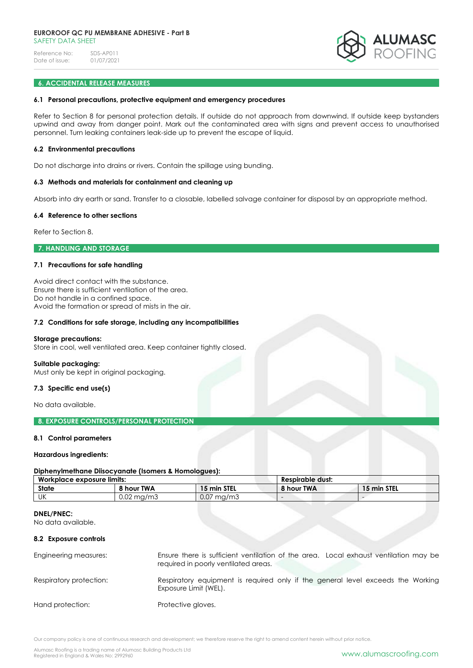

# **6. ACCIDENTAL RELEASE MEASURES**

#### **6.1 Personal precautions, protective equipment and emergency procedures**

Refer to Section 8 for personal protection details. If outside do not approach from downwind. If outside keep bystanders upwind and away from danger point. Mark out the contaminated area with signs and prevent access to unauthorised personnel. Turn leaking containers leak-side up to prevent the escape of liquid.

#### **6.2 Environmental precautions**

Do not discharge into drains or rivers. Contain the spillage using bunding.

#### **6.3 Methods and materials for containment and cleaning up**

Absorb into dry earth or sand. Transfer to a closable, labelled salvage container for disposal by an appropriate method.

#### **6.4 Reference to other sections**

Refer to Section 8.

# **7. HANDLING AND STORAGE**

# **7.1 Precautions for safe handling**

Avoid direct contact with the substance. Ensure there is sufficient ventilation of the area. Do not handle in a confined space. Avoid the formation or spread of mists in the air.

#### **7.2 Conditions for safe storage, including any incompatibilities**

#### **Storage precautions:**

Store in cool, well ventilated area. Keep container tightly closed.

# **Suitable packaging:**

Must only be kept in original packaging.

#### **7.3 Specific end use(s)**

No data available.

# **8. EXPOSURE CONTROLS/PERSONAL PROTECTION**

# **8.1 Control parameters**

#### **Hazardous ingredients:**

# **Diphenylmethane Diisocyanate (Isomers & Homologues):**

| Workplace exposure limits: |               | Respirable dust: |            |             |
|----------------------------|---------------|------------------|------------|-------------|
| <b>State</b>               | 8 hour TWA    | 15 min STEL      | 8 hour TWA | 15 min STEL |
| UK                         | 0.02<br>ma/m3 | 0.07<br>' ma/mɔ́ |            |             |

#### **DNEL/PNEC:**

No data available.

# **8.2 Exposure controls**

| Engineering measures:   | Ensure there is sufficient ventilation of the area. Local exhaust ventilation may be<br>required in poorly ventilated areas. |
|-------------------------|------------------------------------------------------------------------------------------------------------------------------|
| Respiratory protection: | Respiratory equipment is required only if the general level exceeds the Working<br>Exposure Limit (WEL).                     |
| Hand protection:        | Protective gloves.                                                                                                           |

Our company policy is one of continuous research and development; we therefore reserve the right to amend content herein without prior notice.

Alumasc Roofing is a trading name of Alumasc Building Products Ltd<br>Registered in England & Wales No: 2992960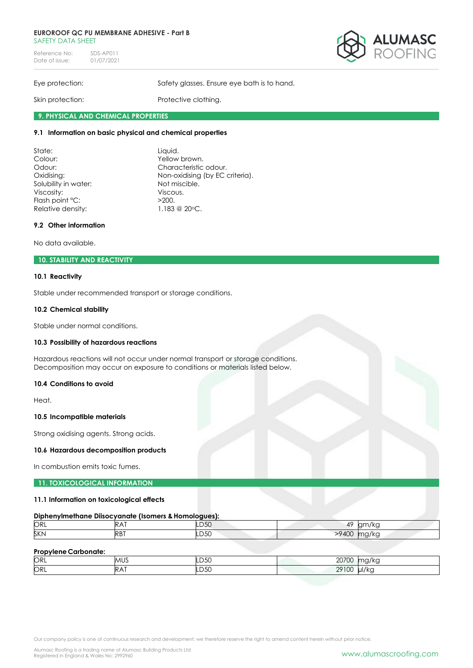#### **EUROROOF QC PU MEMBRANE ADHESIVE - Part B** SAFFTY DATA SHFFT

Reference No: SDS-AP011<br>Date of issue: 01/07/2021 Date of issue:



Eye protection: Safety glasses. Ensure eye bath is to hand.

Skin protection: Protective clothing.

# **9. PHYSICAL AND CHEMICAL PROPERTIES**

# **9.1 Information on basic physical and chemical properties**

| State:                          | Liquid.                         |
|---------------------------------|---------------------------------|
| Colour:                         | Yellow brown.                   |
| Characteristic odour.<br>Odour: |                                 |
| Oxidising:                      | Non-oxidising (by EC criteria). |
| Solubility in water:            | Not miscible.                   |
| Viscosity:                      | Viscous.                        |
| Flash point °C:                 | >200.                           |
| Relative density:               | 1.183 @ 20°C.                   |

# **9.2 Other information**

No data available.

# **10. STABILITY AND REACTIVITY**

# **10.1 Reactivity**

Stable under recommended transport or storage conditions.

# **10.2 Chemical stability**

Stable under normal conditions.

# **10.3 Possibility of hazardous reactions**

Hazardous reactions will not occur under normal transport or storage conditions. Decomposition may occur on exposure to conditions or materials listed below.

# **10.4 Conditions to avoid**

Heat.

# **10.5 Incompatible materials**

Strong oxidising agents. Strong acids.

# **10.6 Hazardous decomposition products**

In combustion emits toxic fumes.

# **11. TOXICOLOGICAL INFORMATION**

# **11.1 Information on toxicological effects**

# **Diphenylmethane Diisocyanate (Isomers & Homologues):**

| ORL |                 | ℡  | $\overline{1}$<br>4,  | ◡ |
|-----|-----------------|----|-----------------------|---|
| SKN | R <sub>R1</sub> | ◡◡ | $^{\prime}$ / $\cdot$ |   |

# **Propylene Carbonate:**

| ORL | <b>ALIC</b><br>™∪∿<br>$ -$ | $\overline{a}$<br>.D50<br>$\sim$ $\sim$ | 0.0700<br>ZV)<br>vv             |       |
|-----|----------------------------|-----------------------------------------|---------------------------------|-------|
| ORL |                            | .<br>.D50<br>___                        | $\sim$<br>001<br>$\sim$<br>2710 | ul/kc |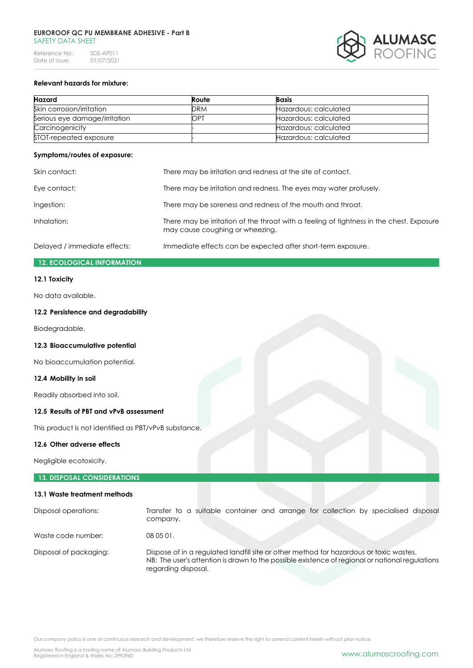

# **Relevant hazards for mixture:**

| <b>Hazard</b>                 | Route      | <b>Basis</b>          |
|-------------------------------|------------|-----------------------|
| Skin corrosion/irritation     | <b>DRM</b> | Hazardous: calculated |
| Serious eye damage/irritation | <b>OPT</b> | Hazardous: calculated |
| Carcinogenicity               |            | Hazardous: calculated |
| STOT-repeated exposure        |            | Hazardous: calculated |

#### **Symptoms/routes of exposure:**

| Skin contact:                | There may be irritation and redness at the site of contact.                                                                 |  |
|------------------------------|-----------------------------------------------------------------------------------------------------------------------------|--|
| Eye contact:                 | There may be irritation and redness. The eyes may water profusely.                                                          |  |
| Ingestion:                   | There may be soreness and redness of the mouth and throat.                                                                  |  |
| Inhalation:                  | There may be irritation of the throat with a feeling of fightness in the chest. Exposure<br>may cause coughing or wheezing. |  |
| Delayed / immediate effects: | Immediate effects can be expected after short-term exposure.                                                                |  |

# **12. ECOLOGICAL INFORMATION**

# **12.1 Toxicity**

No data available.

# **12.2 Persistence and degradability**

Biodegradable.

**12.3 Bioaccumulative potential**

No bioaccumulation potential.

### **12.4 Mobility in soil**

Readily absorbed into soil.

# **12.5 Results of PBT and vPvB assessment**

This product is not identified as PBT/vPvB substance.

#### **12.6 Other adverse effects**

Negligible ecotoxicity.

# **13. DISPOSAL CONSIDERATIONS**

#### **13.1 Waste treatment methods**

| Disposal operations:   | Transfer to a suitable container and arrange for collection by specialised disposal<br>company.                                                                                                                  |  |
|------------------------|------------------------------------------------------------------------------------------------------------------------------------------------------------------------------------------------------------------|--|
| Waste code number:     | 080501.                                                                                                                                                                                                          |  |
| Disposal of packaging: | Dispose of in a regulated landfill site or other method for hazardous or toxic wastes.<br>NB: The user's attention is drawn to the possible existence of regional or national regulations<br>regarding disposal. |  |